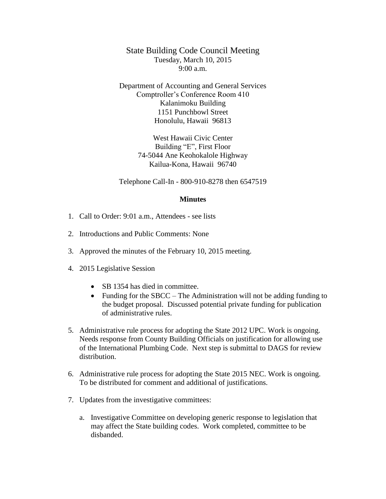State Building Code Council Meeting Tuesday, March 10, 2015  $9:00 a.m.$ 

Department of Accounting and General Services Comptroller's Conference Room 410 Kalanimoku Building 1151 Punchbowl Street Honolulu, Hawaii 96813

> West Hawaii Civic Center Building "E", First Floor 74-5044 Ane Keohokalole Highway Kailua-Kona, Hawaii 96740

Telephone Call-In - 800-910-8278 then 6547519

## **Minutes**

- 1. Call to Order: 9:01 a.m., Attendees see lists
- 2. Introductions and Public Comments: None
- 3. Approved the minutes of the February 10, 2015 meeting.
- 4. 2015 Legislative Session
	- SB 1354 has died in committee.
	- Funding for the SBCC The Administration will not be adding funding to the budget proposal. Discussed potential private funding for publication of administrative rules.
- 5. Administrative rule process for adopting the State 2012 UPC. Work is ongoing. Needs response from County Building Officials on justification for allowing use of the International Plumbing Code. Next step is submittal to DAGS for review distribution.
- 6. Administrative rule process for adopting the State 2015 NEC. Work is ongoing. To be distributed for comment and additional of justifications.
- 7. Updates from the investigative committees:
	- a. Investigative Committee on developing generic response to legislation that may affect the State building codes. Work completed, committee to be disbanded.